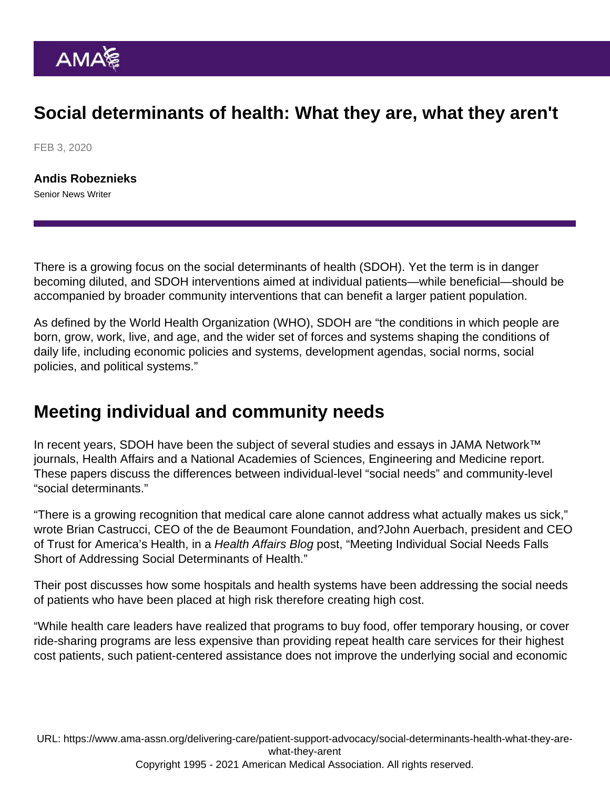## Social determinants of health: What they are, what they aren't

FEB 3, 2020

[Andis Robeznieks](https://www.ama-assn.org/news-leadership-viewpoints/authors-news-leadership-viewpoints/andis-robeznieks) Senior News Writer

There is a growing focus on the social determinants of health (SDOH). Yet the term is in danger becoming diluted, and SDOH interventions aimed at individual patients—while beneficial—should be accompanied by broader community interventions that can benefit a larger patient population.

As defined by the World Health Organization (WHO), SDOH are "the conditions in which people are born, grow, work, live, and age, and the wider set of forces and systems shaping the conditions of daily life, including economic policies and systems, development agendas, social norms, social policies, and political systems."

## Meeting individual and community needs

In recent years, SDOH have been the subject of several studies and essays in [JAMA Network™](https://jamanetwork.com/) journals, Health Affairs and a National Academies of Sciences, Engineering and Medicine report. These papers discuss the differences between individual-level "social needs" and community-level "social determinants."

"There is a growing recognition that medical care alone cannot address what actually makes us sick," wrote Brian Castrucci, CEO of the de Beaumont Foundation, and?John Auerbach, president and CEO of Trust for America's Health, in a Health Affairs Blog post, "Meeting Individual Social Needs Falls Short of Addressing Social Determinants of Health."

Their post discusses how some hospitals and health systems have been addressing the social needs of patients who have been placed at high risk therefore creating high cost.

"While health care leaders have realized that programs to buy food, offer temporary housing, or cover ride-sharing programs are less expensive than providing repeat health care services for their highest cost patients, such patient-centered assistance does not improve the underlying social and economic

URL: [https://www.ama-assn.org/delivering-care/patient-support-advocacy/social-determinants-health-what-they-are](https://www.ama-assn.org/delivering-care/patient-support-advocacy/social-determinants-health-what-they-are-what-they-arent)[what-they-arent](https://www.ama-assn.org/delivering-care/patient-support-advocacy/social-determinants-health-what-they-are-what-they-arent) Copyright 1995 - 2021 American Medical Association. All rights reserved.